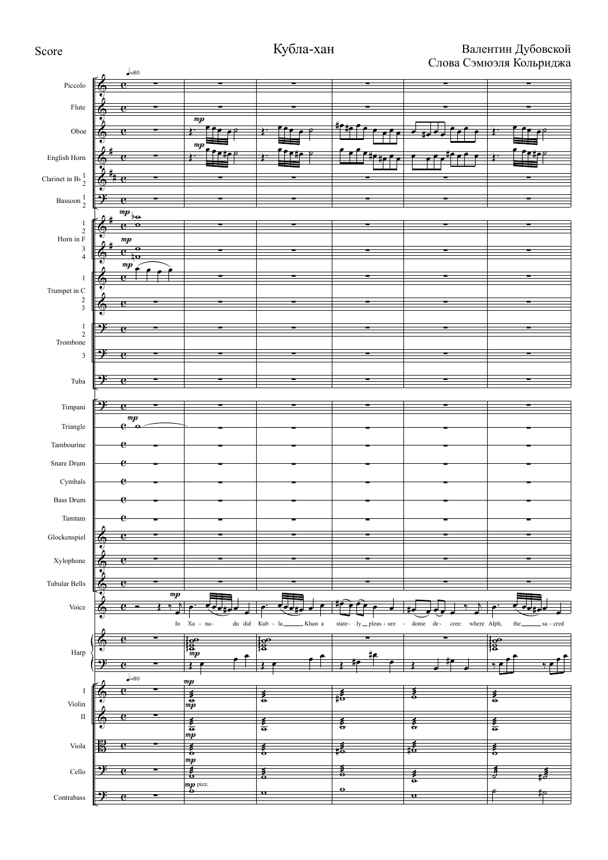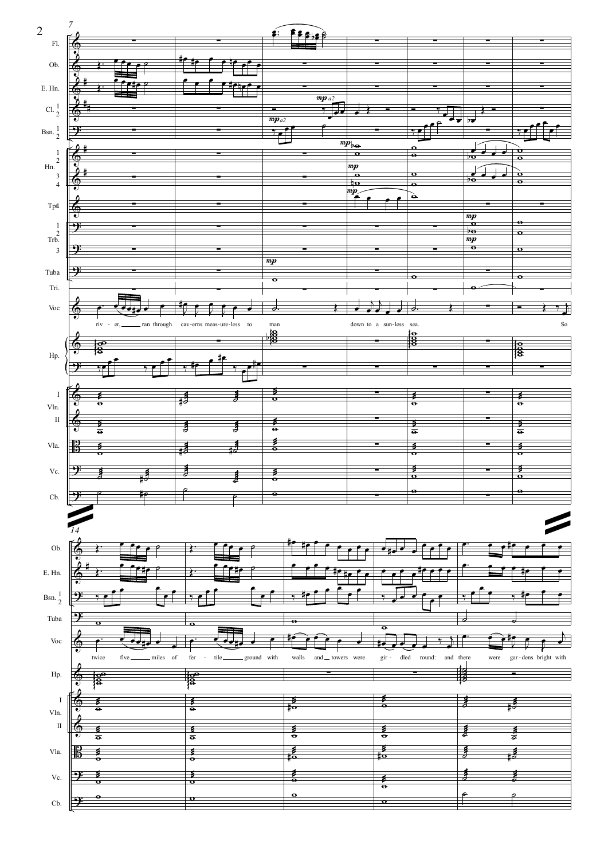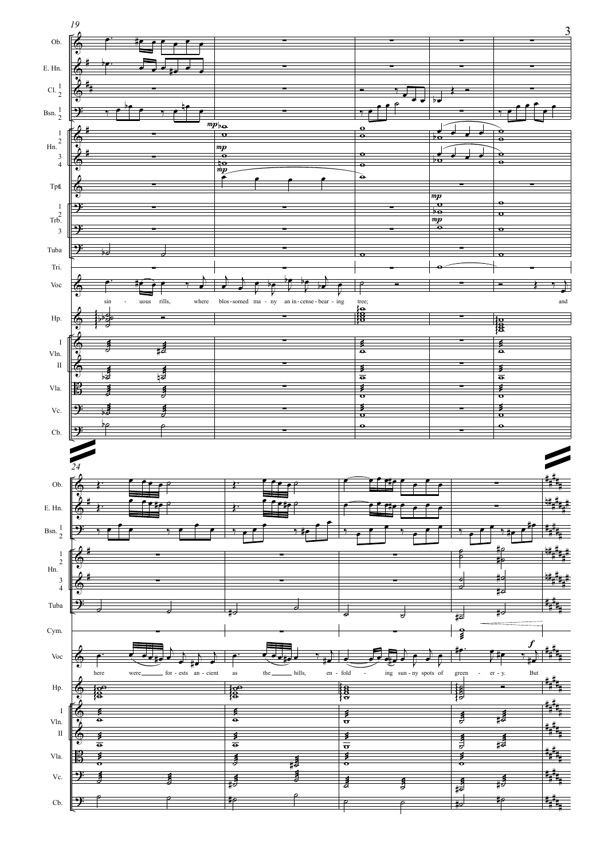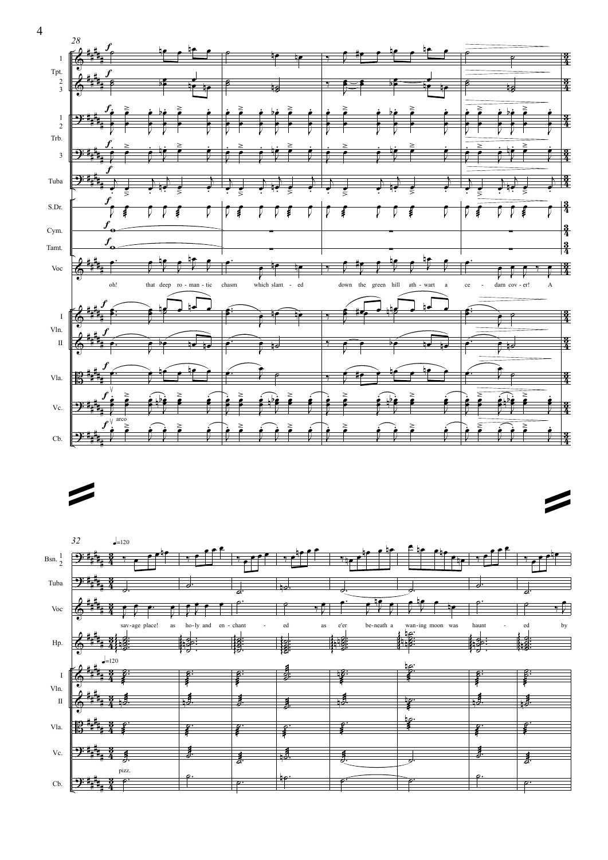

<sup>ª</sup> <sup>ª</sup>

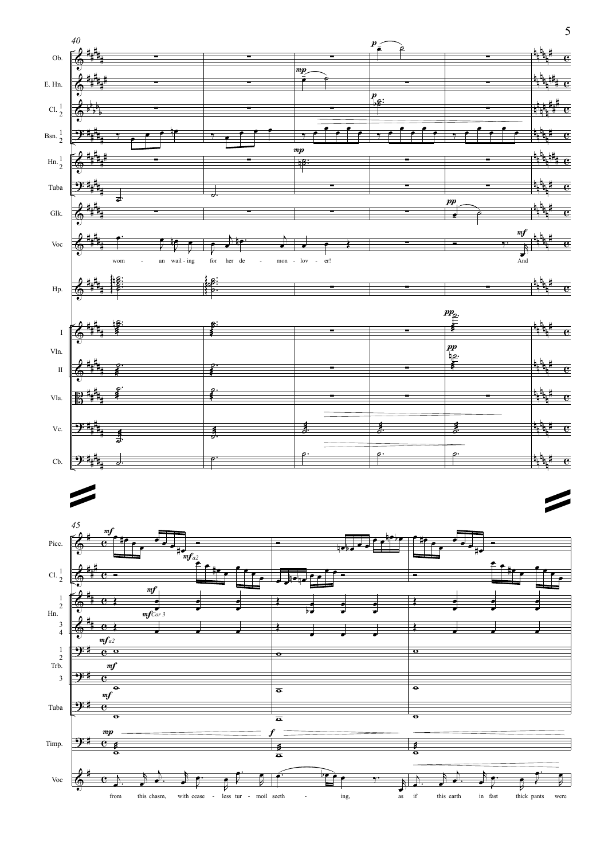



5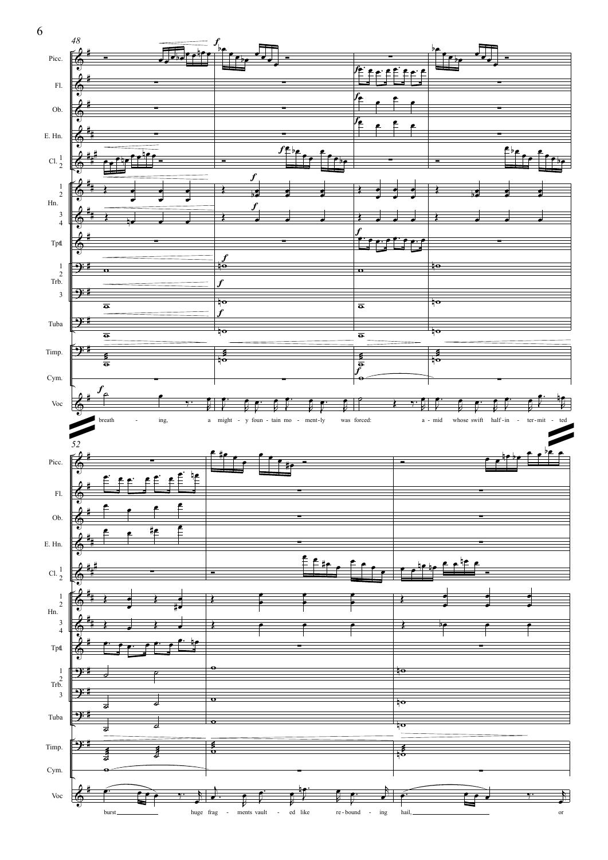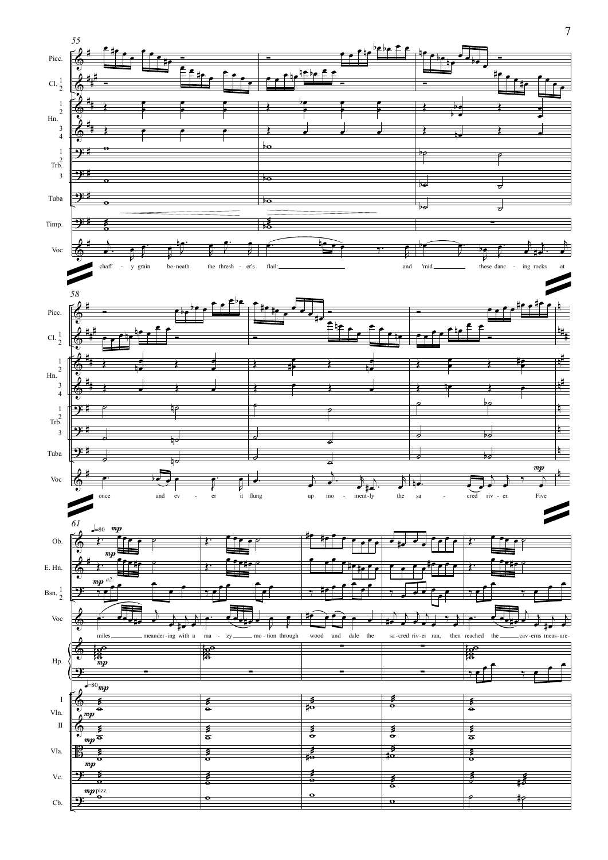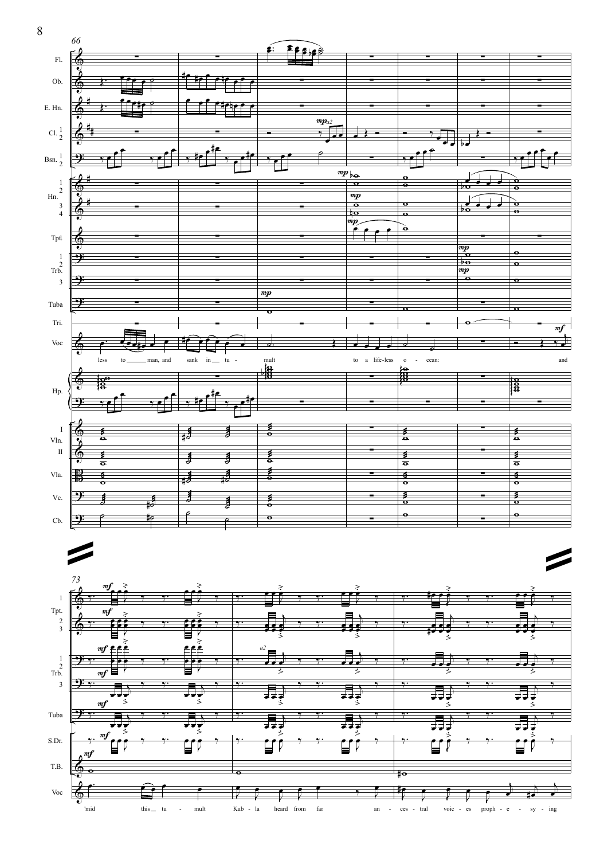

- mult Kub la heard from far an - ces tral voic - es proph - e - sy - ing

8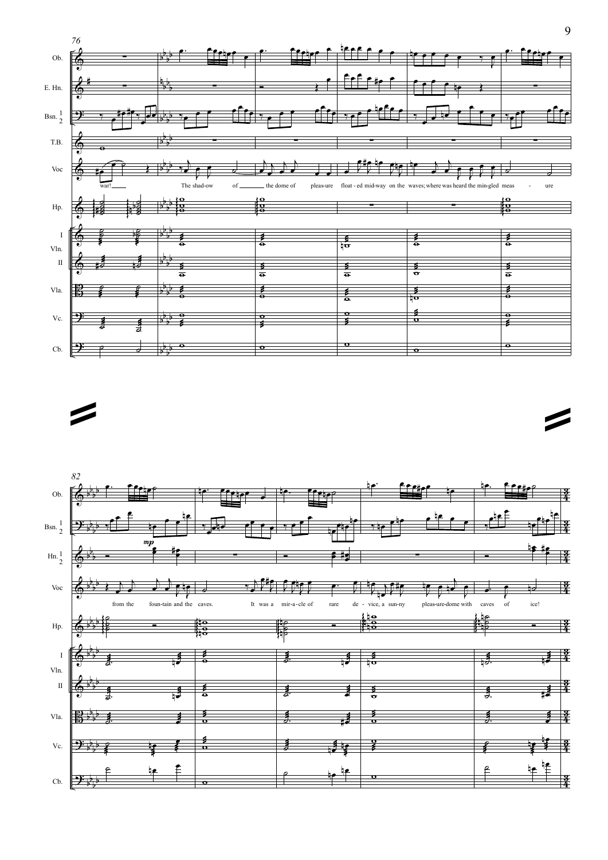



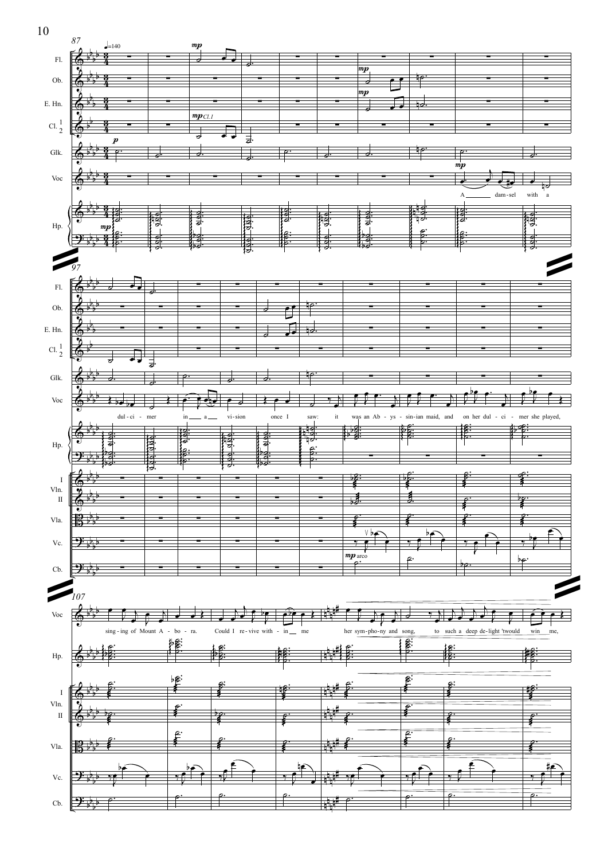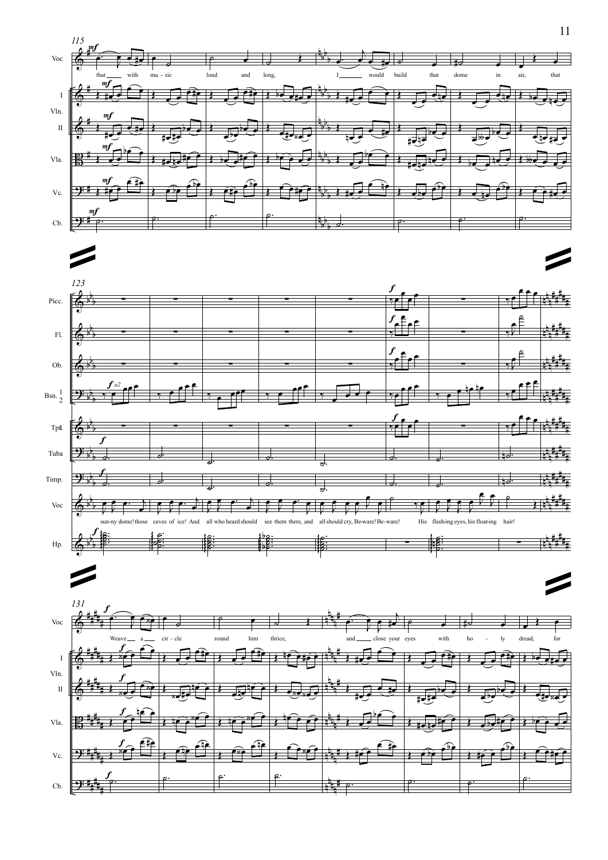